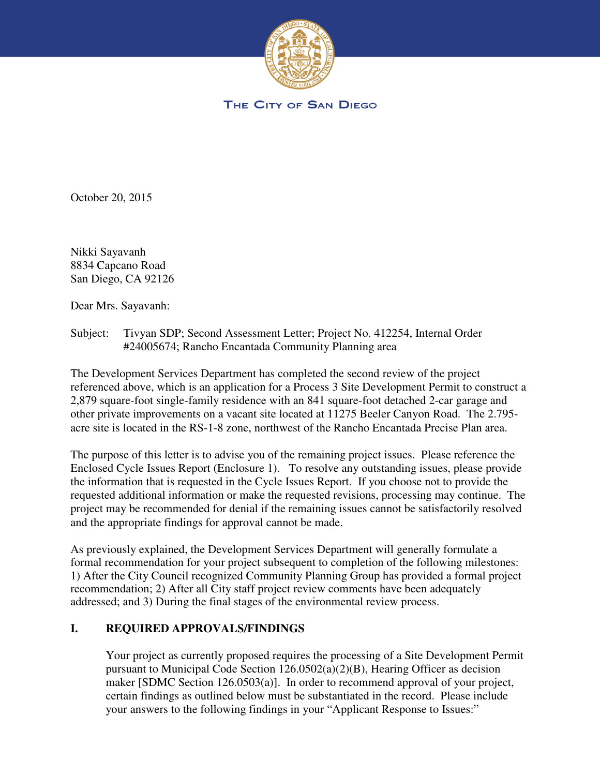

THE CITY OF SAN DIEGO

October 20, 2015

Nikki Sayavanh 8834 Capcano Road San Diego, CA 92126

Dear Mrs. Sayavanh:

Subject: Tivyan SDP; Second Assessment Letter; Project No. 412254, Internal Order #24005674; Rancho Encantada Community Planning area

The Development Services Department has completed the second review of the project referenced above, which is an application for a Process 3 Site Development Permit to construct a 2,879 square-foot single-family residence with an 841 square-foot detached 2-car garage and other private improvements on a vacant site located at 11275 Beeler Canyon Road. The 2.795 acre site is located in the RS-1-8 zone, northwest of the Rancho Encantada Precise Plan area.

The purpose of this letter is to advise you of the remaining project issues. Please reference the Enclosed Cycle Issues Report (Enclosure 1). To resolve any outstanding issues, please provide the information that is requested in the Cycle Issues Report. If you choose not to provide the requested additional information or make the requested revisions, processing may continue. The project may be recommended for denial if the remaining issues cannot be satisfactorily resolved and the appropriate findings for approval cannot be made.

As previously explained, the Development Services Department will generally formulate a formal recommendation for your project subsequent to completion of the following milestones: 1) After the City Council recognized Community Planning Group has provided a formal project recommendation; 2) After all City staff project review comments have been adequately addressed; and 3) During the final stages of the environmental review process.

## **I. REQUIRED APPROVALS/FINDINGS**

Your project as currently proposed requires the processing of a Site Development Permit pursuant to Municipal Code Section 126.0502(a)(2)(B), Hearing Officer as decision maker [SDMC Section 126.0503(a)]. In order to recommend approval of your project, certain findings as outlined below must be substantiated in the record. Please include your answers to the following findings in your "Applicant Response to Issues:"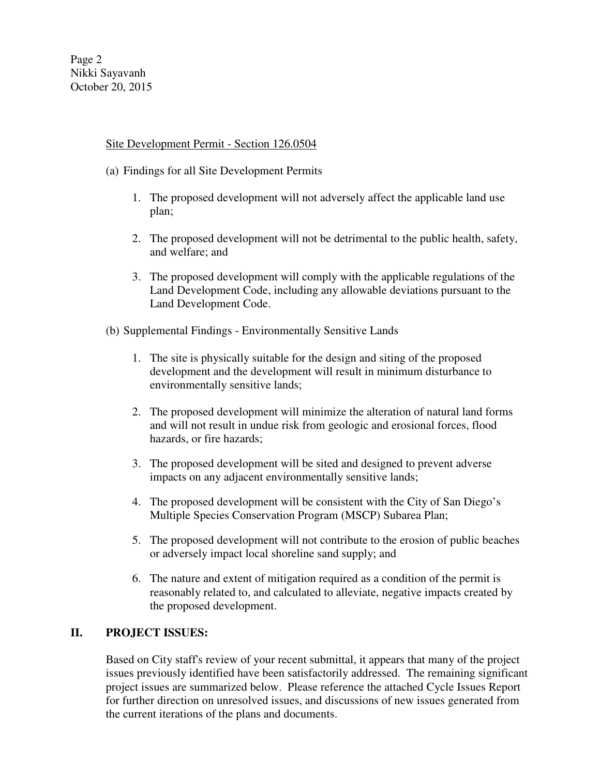## Site Development Permit - Section 126.0504

- (a) Findings for all Site Development Permits
	- 1. The proposed development will not adversely affect the applicable land use plan;
	- 2. The proposed development will not be detrimental to the public health, safety, and welfare; and
	- 3. The proposed development will comply with the applicable regulations of the Land Development Code, including any allowable deviations pursuant to the Land Development Code.
- (b) Supplemental Findings Environmentally Sensitive Lands
	- 1. The site is physically suitable for the design and siting of the proposed development and the development will result in minimum disturbance to environmentally sensitive lands;
	- 2. The proposed development will minimize the alteration of natural land forms and will not result in undue risk from geologic and erosional forces, flood hazards, or fire hazards;
	- 3. The proposed development will be sited and designed to prevent adverse impacts on any adjacent environmentally sensitive lands;
	- 4. The proposed development will be consistent with the City of San Diego's Multiple Species Conservation Program (MSCP) Subarea Plan;
	- 5. The proposed development will not contribute to the erosion of public beaches or adversely impact local shoreline sand supply; and
	- 6. The nature and extent of mitigation required as a condition of the permit is reasonably related to, and calculated to alleviate, negative impacts created by the proposed development.

## **II. PROJECT ISSUES:**

Based on City staff's review of your recent submittal, it appears that many of the project issues previously identified have been satisfactorily addressed. The remaining significant project issues are summarized below. Please reference the attached Cycle Issues Report for further direction on unresolved issues, and discussions of new issues generated from the current iterations of the plans and documents.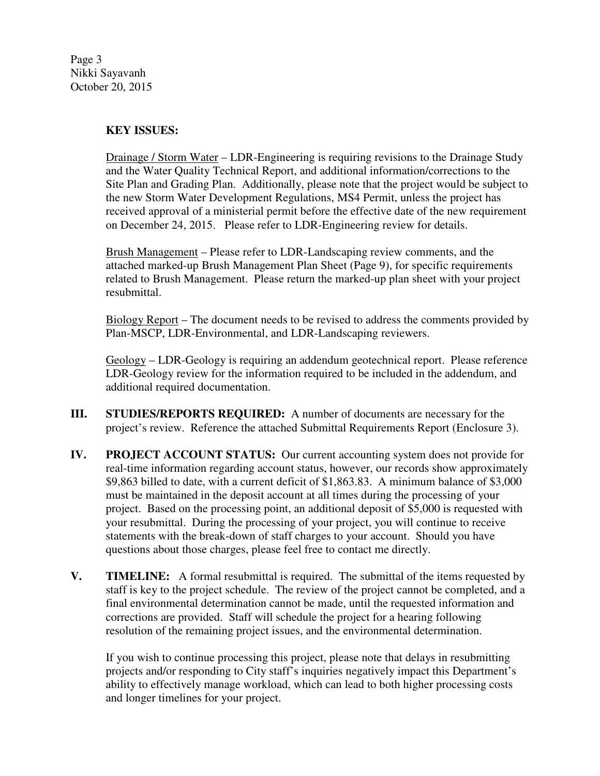Page 3 Nikki Sayavanh October 20, 2015

## **KEY ISSUES:**

 Drainage / Storm Water – LDR-Engineering is requiring revisions to the Drainage Study and the Water Quality Technical Report, and additional information/corrections to the Site Plan and Grading Plan. Additionally, please note that the project would be subject to the new Storm Water Development Regulations, MS4 Permit, unless the project has received approval of a ministerial permit before the effective date of the new requirement on December 24, 2015. Please refer to LDR-Engineering review for details.

 Brush Management – Please refer to LDR-Landscaping review comments, and the attached marked-up Brush Management Plan Sheet (Page 9), for specific requirements related to Brush Management. Please return the marked-up plan sheet with your project resubmittal.

 Biology Report – The document needs to be revised to address the comments provided by Plan-MSCP, LDR-Environmental, and LDR-Landscaping reviewers.

Geology – LDR-Geology is requiring an addendum geotechnical report. Please reference LDR-Geology review for the information required to be included in the addendum, and additional required documentation.

- **III. STUDIES/REPORTS REQUIRED:** A number of documents are necessary for the project's review. Reference the attached Submittal Requirements Report (Enclosure 3).
- **IV.** PROJECT ACCOUNT STATUS: Our current accounting system does not provide for real-time information regarding account status, however, our records show approximately \$9,863 billed to date, with a current deficit of \$1,863.83. A minimum balance of \$3,000 must be maintained in the deposit account at all times during the processing of your project. Based on the processing point, an additional deposit of \$5,000 is requested with your resubmittal. During the processing of your project, you will continue to receive statements with the break-down of staff charges to your account. Should you have questions about those charges, please feel free to contact me directly.
- **V.** TIMELINE: A formal resubmittal is required. The submittal of the items requested by staff is key to the project schedule. The review of the project cannot be completed, and a final environmental determination cannot be made, until the requested information and corrections are provided. Staff will schedule the project for a hearing following resolution of the remaining project issues, and the environmental determination.

If you wish to continue processing this project, please note that delays in resubmitting projects and/or responding to City staff's inquiries negatively impact this Department's ability to effectively manage workload, which can lead to both higher processing costs and longer timelines for your project.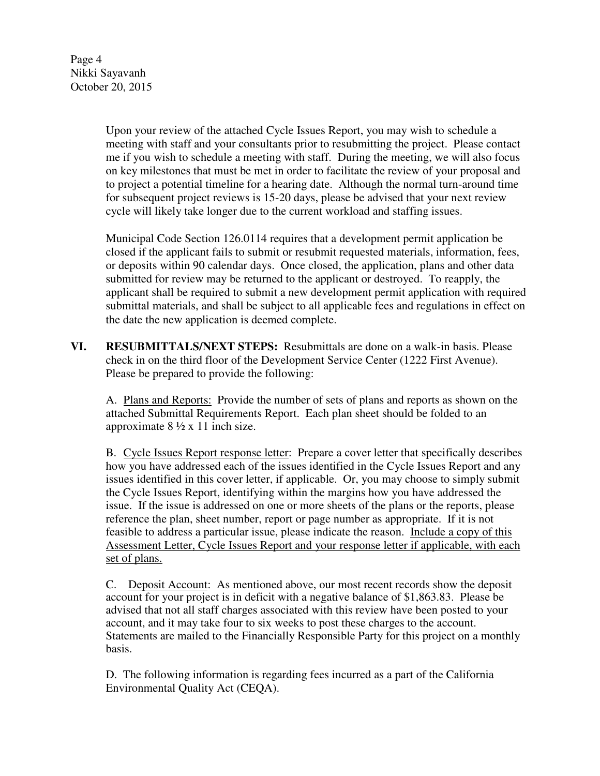Upon your review of the attached Cycle Issues Report, you may wish to schedule a meeting with staff and your consultants prior to resubmitting the project. Please contact me if you wish to schedule a meeting with staff. During the meeting, we will also focus on key milestones that must be met in order to facilitate the review of your proposal and to project a potential timeline for a hearing date. Although the normal turn-around time for subsequent project reviews is 15-20 days, please be advised that your next review cycle will likely take longer due to the current workload and staffing issues.

Municipal Code Section 126.0114 requires that a development permit application be closed if the applicant fails to submit or resubmit requested materials, information, fees, or deposits within 90 calendar days. Once closed, the application, plans and other data submitted for review may be returned to the applicant or destroyed. To reapply, the applicant shall be required to submit a new development permit application with required submittal materials, and shall be subject to all applicable fees and regulations in effect on the date the new application is deemed complete.

**VI. RESUBMITTALS/NEXT STEPS:** Resubmittals are done on a walk-in basis. Please check in on the third floor of the Development Service Center (1222 First Avenue). Please be prepared to provide the following:

A. Plans and Reports: Provide the number of sets of plans and reports as shown on the attached Submittal Requirements Report. Each plan sheet should be folded to an approximate  $8\frac{1}{2} \times 11$  inch size.

B. Cycle Issues Report response letter: Prepare a cover letter that specifically describes how you have addressed each of the issues identified in the Cycle Issues Report and any issues identified in this cover letter, if applicable. Or, you may choose to simply submit the Cycle Issues Report, identifying within the margins how you have addressed the issue. If the issue is addressed on one or more sheets of the plans or the reports, please reference the plan, sheet number, report or page number as appropriate. If it is not feasible to address a particular issue, please indicate the reason. Include a copy of this Assessment Letter, Cycle Issues Report and your response letter if applicable, with each set of plans.

C. Deposit Account:As mentioned above, our most recent records show the deposit account for your project is in deficit with a negative balance of \$1,863.83. Please be advised that not all staff charges associated with this review have been posted to your account, and it may take four to six weeks to post these charges to the account. Statements are mailed to the Financially Responsible Party for this project on a monthly basis.

D. The following information is regarding fees incurred as a part of the California Environmental Quality Act (CEQA).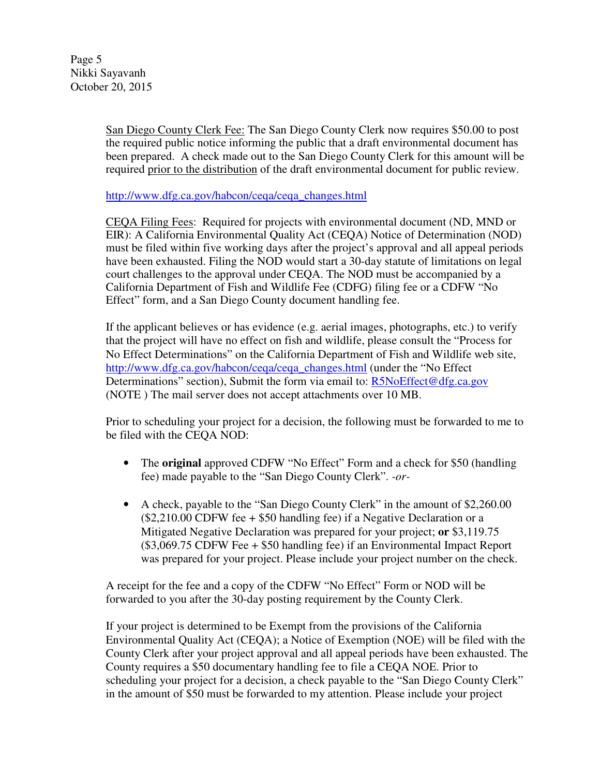Page 5 Nikki Sayavanh October 20, 2015

> San Diego County Clerk Fee: The San Diego County Clerk now requires \$50.00 to post the required public notice informing the public that a draft environmental document has been prepared. A check made out to the San Diego County Clerk for this amount will be required prior to the distribution of the draft environmental document for public review.

http://www.dfg.ca.gov/habcon/ceqa/ceqa\_changes.html

CEQA Filing Fees: Required for projects with environmental document (ND, MND or EIR): A California Environmental Quality Act (CEQA) Notice of Determination (NOD) must be filed within five working days after the project's approval and all appeal periods have been exhausted. Filing the NOD would start a 30-day statute of limitations on legal court challenges to the approval under CEQA. The NOD must be accompanied by a California Department of Fish and Wildlife Fee (CDFG) filing fee or a CDFW "No Effect" form, and a San Diego County document handling fee.

If the applicant believes or has evidence (e.g. aerial images, photographs, etc.) to verify that the project will have no effect on fish and wildlife, please consult the "Process for No Effect Determinations" on the California Department of Fish and Wildlife web site, http://www.dfg.ca.gov/habcon/ceqa/ceqa\_changes.html (under the "No Effect Determinations" section), Submit the form via email to: R5NoEffect@dfg.ca.gov (NOTE ) The mail server does not accept attachments over 10 MB.

Prior to scheduling your project for a decision, the following must be forwarded to me to be filed with the CEQA NOD:

- The **original** approved CDFW "No Effect" Form and a check for \$50 (handling fee) made payable to the "San Diego County Clerk". *-or-*
- A check, payable to the "San Diego County Clerk" in the amount of \$2,260.00  $(\$2,210.00$  CDFW fee  $+$  \$50 handling fee) if a Negative Declaration or a Mitigated Negative Declaration was prepared for your project; **or** \$3,119.75 (\$3,069.75 CDFW Fee + \$50 handling fee) if an Environmental Impact Report was prepared for your project. Please include your project number on the check.

A receipt for the fee and a copy of the CDFW "No Effect" Form or NOD will be forwarded to you after the 30-day posting requirement by the County Clerk.

If your project is determined to be Exempt from the provisions of the California Environmental Quality Act (CEQA); a Notice of Exemption (NOE) will be filed with the County Clerk after your project approval and all appeal periods have been exhausted. The County requires a \$50 documentary handling fee to file a CEQA NOE. Prior to scheduling your project for a decision, a check payable to the "San Diego County Clerk" in the amount of \$50 must be forwarded to my attention. Please include your project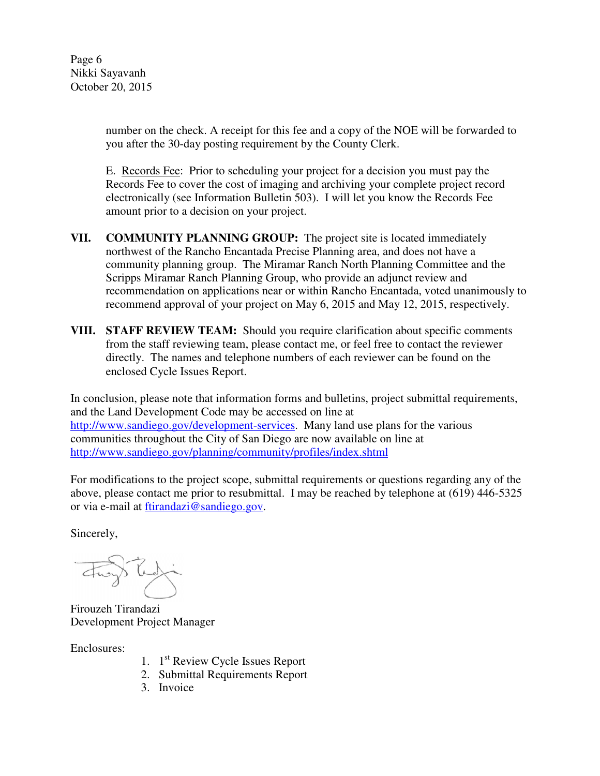Page 6 Nikki Sayavanh October 20, 2015

> number on the check. A receipt for this fee and a copy of the NOE will be forwarded to you after the 30-day posting requirement by the County Clerk.

E. Records Fee: Prior to scheduling your project for a decision you must pay the Records Fee to cover the cost of imaging and archiving your complete project record electronically (see Information Bulletin 503). I will let you know the Records Fee amount prior to a decision on your project.

- **VII. COMMUNITY PLANNING GROUP:** The project site is located immediately northwest of the Rancho Encantada Precise Planning area, and does not have a community planning group. The Miramar Ranch North Planning Committee and the Scripps Miramar Ranch Planning Group, who provide an adjunct review and recommendation on applications near or within Rancho Encantada, voted unanimously to recommend approval of your project on May 6, 2015 and May 12, 2015, respectively.
- **VIII. STAFF REVIEW TEAM:** Should you require clarification about specific comments from the staff reviewing team, please contact me, or feel free to contact the reviewer directly. The names and telephone numbers of each reviewer can be found on the enclosed Cycle Issues Report.

In conclusion, please note that information forms and bulletins, project submittal requirements, and the Land Development Code may be accessed on line at http://www.sandiego.gov/development-services. Many land use plans for the various communities throughout the City of San Diego are now available on line at http://www.sandiego.gov/planning/community/profiles/index.shtml

For modifications to the project scope, submittal requirements or questions regarding any of the above, please contact me prior to resubmittal. I may be reached by telephone at (619) 446-5325 or via e-mail at ftirandazi@sandiego.gov.

Sincerely,

Firouzeh Tirandazi Development Project Manager

Enclosures:

- 1. 1<sup>st</sup> Review Cycle Issues Report
- 2. Submittal Requirements Report
- 3. Invoice